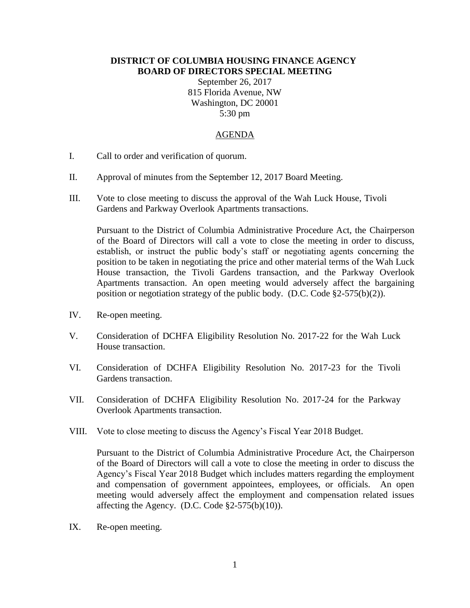## **DISTRICT OF COLUMBIA HOUSING FINANCE AGENCY BOARD OF DIRECTORS SPECIAL MEETING**

September 26, 2017 815 Florida Avenue, NW Washington, DC 20001 5:30 pm

## AGENDA

- I. Call to order and verification of quorum.
- II. Approval of minutes from the September 12, 2017 Board Meeting.
- III. Vote to close meeting to discuss the approval of the Wah Luck House, Tivoli Gardens and Parkway Overlook Apartments transactions.

Pursuant to the District of Columbia Administrative Procedure Act, the Chairperson of the Board of Directors will call a vote to close the meeting in order to discuss, establish, or instruct the public body's staff or negotiating agents concerning the position to be taken in negotiating the price and other material terms of the Wah Luck House transaction, the Tivoli Gardens transaction, and the Parkway Overlook Apartments transaction. An open meeting would adversely affect the bargaining position or negotiation strategy of the public body. (D.C. Code  $\S2-575(b)(2)$ ).

- IV. Re-open meeting.
- V. Consideration of DCHFA Eligibility Resolution No. 2017-22 for the Wah Luck House transaction.
- VI. Consideration of DCHFA Eligibility Resolution No. 2017-23 for the Tivoli Gardens transaction.
- VII. Consideration of DCHFA Eligibility Resolution No. 2017-24 for the Parkway Overlook Apartments transaction.
- VIII. Vote to close meeting to discuss the Agency's Fiscal Year 2018 Budget.

Pursuant to the District of Columbia Administrative Procedure Act, the Chairperson of the Board of Directors will call a vote to close the meeting in order to discuss the Agency's Fiscal Year 2018 Budget which includes matters regarding the employment and compensation of government appointees, employees, or officials. An open meeting would adversely affect the employment and compensation related issues affecting the Agency. (D.C. Code  $\S2-575(b)(10)$ ).

IX. Re-open meeting.